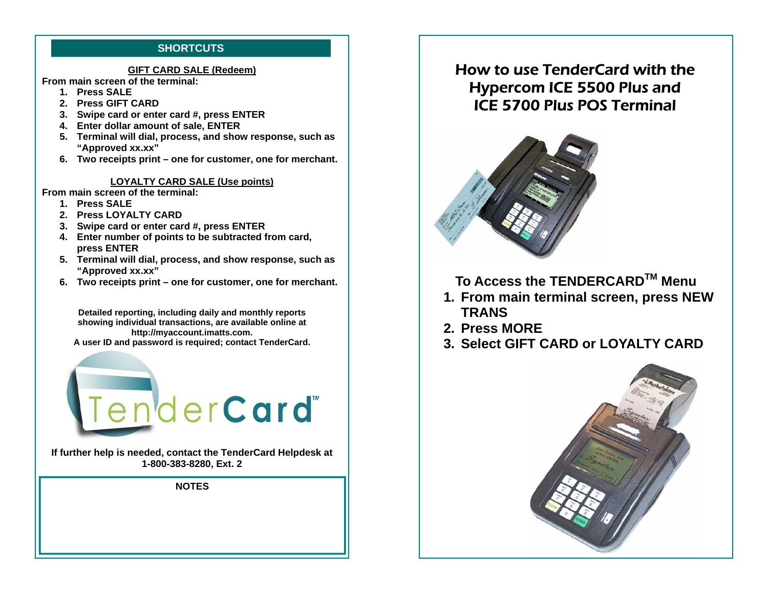# **SHORTCUTS**

#### **GIFT CARD SALE (Redeem)**

**From main screen of the terminal:** 

- **1. Press SALE**
- **2. Press GIFT CARD**
- **3. Swipe card or enter card #, press ENTER**
- **4. Enter dollar amount of sale, ENTER**
- **5. Terminal will dial, process, and show response, such as "Approved xx.xx"**
- **6. Two receipts print one for customer, one for merchant.**

### **LOYALTY CARD SALE (Use points)**

**From main screen of the terminal:** 

- **1. Press SALE**
- **2. Press LOYALTY CARD**
- **3. Swipe card or enter card #, press ENTER**
- **4. Enter number of points to be subtracted from card, press ENTER**
- **5. Terminal will dial, process, and show response, such as "Approved xx.xx"**
- **6. Two receipts print one for customer, one for merchant.**

**Detailed reporting, including daily and monthly reports showing individual transactions, are available online at http://myaccount.imatts.com. A user ID and password is required; contact TenderCard.** 



**If further help is needed, contact the TenderCard Helpdesk at 1-800-383-8280, Ext. 2** 

**NOTES** 

# How to use TenderCard with the Hypercom ICE 5500 Plus and ICE 5700 Plus POS Terminal



**To Access the TENDERCARDTM Menu** 

- **1. From main terminal screen, press NEW TRANS**
- **2. Press MORE**
- **3. Select GIFT CARD or LOYALTY CARD**